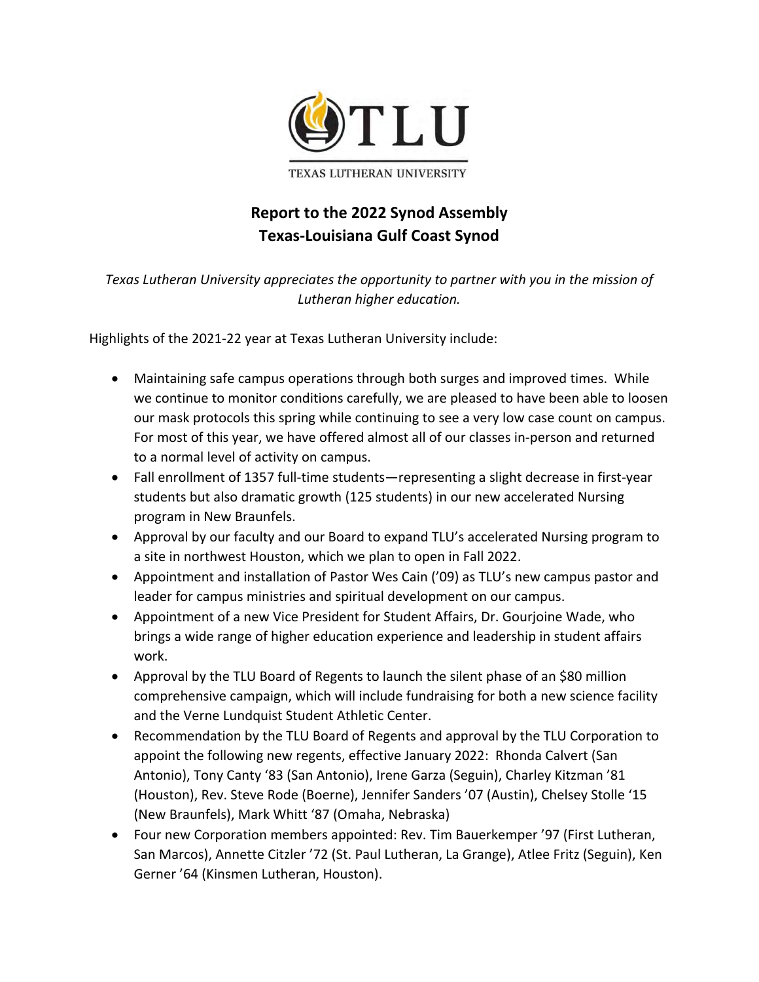

## **Report to the 2022 Synod Assembly Texas‐Louisiana Gulf Coast Synod**

*Texas Lutheran University appreciates the opportunity to partner with you in the mission of Lutheran higher education.* 

Highlights of the 2021‐22 year at Texas Lutheran University include:

- Maintaining safe campus operations through both surges and improved times. While we continue to monitor conditions carefully, we are pleased to have been able to loosen our mask protocols this spring while continuing to see a very low case count on campus. For most of this year, we have offered almost all of our classes in‐person and returned to a normal level of activity on campus.
- Fall enrollment of 1357 full‐time students—representing a slight decrease in first‐year students but also dramatic growth (125 students) in our new accelerated Nursing program in New Braunfels.
- Approval by our faculty and our Board to expand TLU's accelerated Nursing program to a site in northwest Houston, which we plan to open in Fall 2022.
- Appointment and installation of Pastor Wes Cain ('09) as TLU's new campus pastor and leader for campus ministries and spiritual development on our campus.
- Appointment of a new Vice President for Student Affairs, Dr. Gourjoine Wade, who brings a wide range of higher education experience and leadership in student affairs work.
- Approval by the TLU Board of Regents to launch the silent phase of an \$80 million comprehensive campaign, which will include fundraising for both a new science facility and the Verne Lundquist Student Athletic Center.
- Recommendation by the TLU Board of Regents and approval by the TLU Corporation to appoint the following new regents, effective January 2022: Rhonda Calvert (San Antonio), Tony Canty '83 (San Antonio), Irene Garza (Seguin), Charley Kitzman '81 (Houston), Rev. Steve Rode (Boerne), Jennifer Sanders '07 (Austin), Chelsey Stolle '15 (New Braunfels), Mark Whitt '87 (Omaha, Nebraska)
- Four new Corporation members appointed: Rev. Tim Bauerkemper '97 (First Lutheran, San Marcos), Annette Citzler '72 (St. Paul Lutheran, La Grange), Atlee Fritz (Seguin), Ken Gerner '64 (Kinsmen Lutheran, Houston).